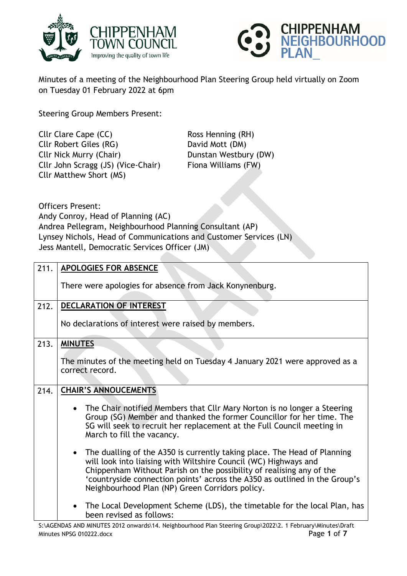



Minutes of a meeting of the Neighbourhood Plan Steering Group held virtually on Zoom on Tuesday 01 February 2022 at 6pm

Steering Group Members Present:

Cllr Clare Cape (CC) Ross Henning (RH) Cllr Robert Giles (RG) David Mott (DM) Cllr Nick Murry (Chair) Dunstan Westbury (DW) Cllr John Scragg (JS) (Vice-Chair) Fiona Williams (FW) Cllr Matthew Short (MS)

Officers Present:

Andy Conroy, Head of Planning (AC) Andrea Pellegram, Neighbourhood Planning Consultant (AP) Lynsey Nichols, Head of Communications and Customer Services (LN) Jess Mantell, Democratic Services Officer (JM)

| 211. | <b>APOLOGIES FOR ABSENCE</b>                                                                                                                                                                                                                                                                                                                                       |
|------|--------------------------------------------------------------------------------------------------------------------------------------------------------------------------------------------------------------------------------------------------------------------------------------------------------------------------------------------------------------------|
|      | There were apologies for absence from Jack Konynenburg.                                                                                                                                                                                                                                                                                                            |
| 212. | DECLARATION OF INTEREST                                                                                                                                                                                                                                                                                                                                            |
|      | No declarations of interest were raised by members.                                                                                                                                                                                                                                                                                                                |
| 213. | <b>MINUTES</b>                                                                                                                                                                                                                                                                                                                                                     |
|      | The minutes of the meeting held on Tuesday 4 January 2021 were approved as a<br>correct record.                                                                                                                                                                                                                                                                    |
| 214. | <b>CHAIR'S ANNOUCEMENTS</b>                                                                                                                                                                                                                                                                                                                                        |
|      | • The Chair notified Members that Cllr Mary Norton is no longer a Steering<br>Group (SG) Member and thanked the former Councillor for her time. The<br>SG will seek to recruit her replacement at the Full Council meeting in<br>March to fill the vacancy.                                                                                                        |
|      | The dualling of the A350 is currently taking place. The Head of Planning<br>$\bullet$<br>will look into liaising with Wiltshire Council (WC) Highways and<br>Chippenham Without Parish on the possibility of realising any of the<br>'countryside connection points' across the A350 as outlined in the Group's<br>Neighbourhood Plan (NP) Green Corridors policy. |
|      | The Local Development Scheme (LDS), the timetable for the local Plan, has<br>been revised as follows:                                                                                                                                                                                                                                                              |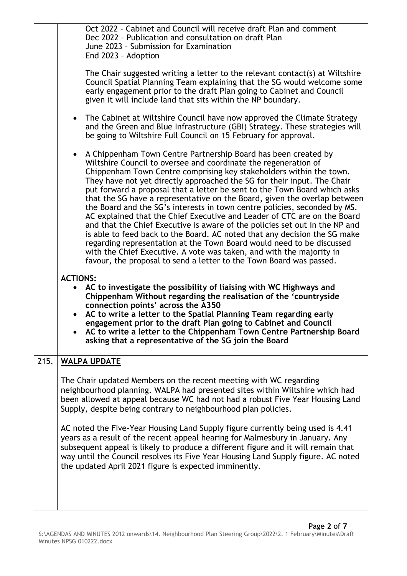|      | Oct 2022 - Cabinet and Council will receive draft Plan and comment<br>Dec 2022 - Publication and consultation on draft Plan<br>June 2023 - Submission for Examination<br>End 2023 - Adoption                                                                                                                                                                                                                                                                                                                                                                                                                                                                                                                                                                                                                                                                                                                                                                                                            |
|------|---------------------------------------------------------------------------------------------------------------------------------------------------------------------------------------------------------------------------------------------------------------------------------------------------------------------------------------------------------------------------------------------------------------------------------------------------------------------------------------------------------------------------------------------------------------------------------------------------------------------------------------------------------------------------------------------------------------------------------------------------------------------------------------------------------------------------------------------------------------------------------------------------------------------------------------------------------------------------------------------------------|
|      | The Chair suggested writing a letter to the relevant contact(s) at Wiltshire<br>Council Spatial Planning Team explaining that the SG would welcome some<br>early engagement prior to the draft Plan going to Cabinet and Council<br>given it will include land that sits within the NP boundary.                                                                                                                                                                                                                                                                                                                                                                                                                                                                                                                                                                                                                                                                                                        |
|      | The Cabinet at Wiltshire Council have now approved the Climate Strategy<br>$\bullet$<br>and the Green and Blue Infrastructure (GBI) Strategy. These strategies will<br>be going to Wiltshire Full Council on 15 February for approval.                                                                                                                                                                                                                                                                                                                                                                                                                                                                                                                                                                                                                                                                                                                                                                  |
|      | A Chippenham Town Centre Partnership Board has been created by<br>$\bullet$<br>Wiltshire Council to oversee and coordinate the regeneration of<br>Chippenham Town Centre comprising key stakeholders within the town.<br>They have not yet directly approached the SG for their input. The Chair<br>put forward a proposal that a letter be sent to the Town Board which asks<br>that the SG have a representative on the Board, given the overlap between<br>the Board and the SG's interests in town centre policies, seconded by MS.<br>AC explained that the Chief Executive and Leader of CTC are on the Board<br>and that the Chief Executive is aware of the policies set out in the NP and<br>is able to feed back to the Board. AC noted that any decision the SG make<br>regarding representation at the Town Board would need to be discussed<br>with the Chief Executive. A vote was taken, and with the majority in<br>favour, the proposal to send a letter to the Town Board was passed. |
|      | <b>ACTIONS:</b><br>AC to investigate the possibility of liaising with WC Highways and<br>Chippenham Without regarding the realisation of the 'countryside<br>connection points' across the A350<br>AC to write a letter to the Spatial Planning Team regarding early<br>engagement prior to the draft Plan going to Cabinet and Council<br>AC to write a letter to the Chippenham Town Centre Partnership Board<br>asking that a representative of the SG join the Board                                                                                                                                                                                                                                                                                                                                                                                                                                                                                                                                |
| 215. | <b>WALPA UPDATE</b>                                                                                                                                                                                                                                                                                                                                                                                                                                                                                                                                                                                                                                                                                                                                                                                                                                                                                                                                                                                     |
|      | The Chair updated Members on the recent meeting with WC regarding<br>neighbourhood planning. WALPA had presented sites within Wiltshire which had<br>been allowed at appeal because WC had not had a robust Five Year Housing Land<br>Supply, despite being contrary to neighbourhood plan policies.                                                                                                                                                                                                                                                                                                                                                                                                                                                                                                                                                                                                                                                                                                    |
|      | AC noted the Five-Year Housing Land Supply figure currently being used is 4.41<br>years as a result of the recent appeal hearing for Malmesbury in January. Any<br>subsequent appeal is likely to produce a different figure and it will remain that<br>way until the Council resolves its Five Year Housing Land Supply figure. AC noted<br>the updated April 2021 figure is expected imminently.                                                                                                                                                                                                                                                                                                                                                                                                                                                                                                                                                                                                      |
|      |                                                                                                                                                                                                                                                                                                                                                                                                                                                                                                                                                                                                                                                                                                                                                                                                                                                                                                                                                                                                         |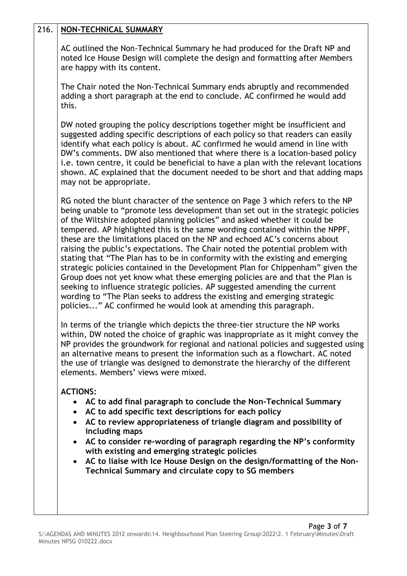## 216. **NON-TECHNICAL SUMMARY**

AC outlined the Non-Technical Summary he had produced for the Draft NP and noted Ice House Design will complete the design and formatting after Members are happy with its content.

The Chair noted the Non-Technical Summary ends abruptly and recommended adding a short paragraph at the end to conclude. AC confirmed he would add this.

DW noted grouping the policy descriptions together might be insufficient and suggested adding specific descriptions of each policy so that readers can easily identify what each policy is about. AC confirmed he would amend in line with DW's comments. DW also mentioned that where there is a location-based policy i.e. town centre, it could be beneficial to have a plan with the relevant locations shown. AC explained that the document needed to be short and that adding maps may not be appropriate.

RG noted the blunt character of the sentence on Page 3 which refers to the NP being unable to "promote less development than set out in the strategic policies of the Wiltshire adopted planning policies" and asked whether it could be tempered. AP highlighted this is the same wording contained within the NPPF, these are the limitations placed on the NP and echoed AC's concerns about raising the public's expectations. The Chair noted the potential problem with stating that "The Plan has to be in conformity with the existing and emerging strategic policies contained in the Development Plan for Chippenham" given the Group does not yet know what these emerging policies are and that the Plan is seeking to influence strategic policies. AP suggested amending the current wording to "The Plan seeks to address the existing and emerging strategic policies..." AC confirmed he would look at amending this paragraph.

In terms of the triangle which depicts the three-tier structure the NP works within, DW noted the choice of graphic was inappropriate as it might convey the NP provides the groundwork for regional and national policies and suggested using an alternative means to present the information such as a flowchart. AC noted the use of triangle was designed to demonstrate the hierarchy of the different elements. Members' views were mixed.

## **ACTIONS:**

- **AC to add final paragraph to conclude the Non-Technical Summary**
- **AC to add specific text descriptions for each policy**
- **AC to review appropriateness of triangle diagram and possibility of including maps**
- **AC to consider re-wording of paragraph regarding the NP's conformity with existing and emerging strategic policies**
- **AC to liaise with Ice House Design on the design/formatting of the Non-Technical Summary and circulate copy to SG members**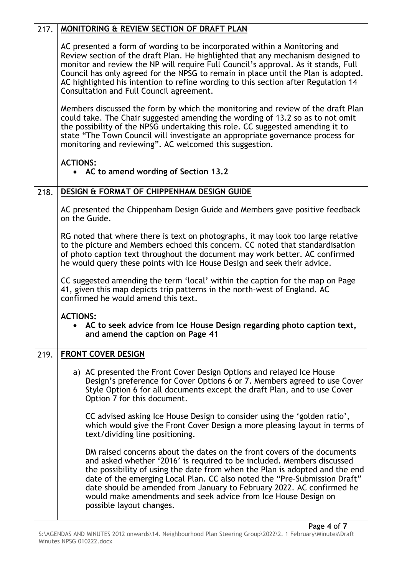| 217. | <b>MONITORING &amp; REVIEW SECTION OF DRAFT PLAN</b>                                                                                                                                                                                                                                                                                                                                                                                                                                 |
|------|--------------------------------------------------------------------------------------------------------------------------------------------------------------------------------------------------------------------------------------------------------------------------------------------------------------------------------------------------------------------------------------------------------------------------------------------------------------------------------------|
|      | AC presented a form of wording to be incorporated within a Monitoring and<br>Review section of the draft Plan. He highlighted that any mechanism designed to<br>monitor and review the NP will require Full Council's approval. As it stands, Full<br>Council has only agreed for the NPSG to remain in place until the Plan is adopted.<br>AC highlighted his intention to refine wording to this section after Regulation 14<br>Consultation and Full Council agreement.           |
|      | Members discussed the form by which the monitoring and review of the draft Plan<br>could take. The Chair suggested amending the wording of 13.2 so as to not omit<br>the possibility of the NPSG undertaking this role. CC suggested amending it to<br>state "The Town Council will investigate an appropriate governance process for<br>monitoring and reviewing". AC welcomed this suggestion.                                                                                     |
|      | <b>ACTIONS:</b><br>• AC to amend wording of Section 13.2                                                                                                                                                                                                                                                                                                                                                                                                                             |
| 218. | DESIGN & FORMAT OF CHIPPENHAM DESIGN GUIDE                                                                                                                                                                                                                                                                                                                                                                                                                                           |
|      | AC presented the Chippenham Design Guide and Members gave positive feedback<br>on the Guide.                                                                                                                                                                                                                                                                                                                                                                                         |
|      | RG noted that where there is text on photographs, it may look too large relative<br>to the picture and Members echoed this concern. CC noted that standardisation<br>of photo caption text throughout the document may work better. AC confirmed<br>he would query these points with Ice House Design and seek their advice.                                                                                                                                                         |
|      | CC suggested amending the term 'local' within the caption for the map on Page<br>41, given this map depicts trip patterns in the north-west of England. AC<br>confirmed he would amend this text.                                                                                                                                                                                                                                                                                    |
|      | <b>ACTIONS:</b><br>• AC to seek advice from Ice House Design regarding photo caption text,<br>and amend the caption on Page 41                                                                                                                                                                                                                                                                                                                                                       |
| 219. | <b>FRONT COVER DESIGN</b>                                                                                                                                                                                                                                                                                                                                                                                                                                                            |
|      | a) AC presented the Front Cover Design Options and relayed Ice House<br>Design's preference for Cover Options 6 or 7. Members agreed to use Cover<br>Style Option 6 for all documents except the draft Plan, and to use Cover<br>Option 7 for this document.                                                                                                                                                                                                                         |
|      | CC advised asking Ice House Design to consider using the 'golden ratio',<br>which would give the Front Cover Design a more pleasing layout in terms of<br>text/dividing line positioning.                                                                                                                                                                                                                                                                                            |
|      | DM raised concerns about the dates on the front covers of the documents<br>and asked whether '2016' is required to be included. Members discussed<br>the possibility of using the date from when the Plan is adopted and the end<br>date of the emerging Local Plan. CC also noted the "Pre-Submission Draft"<br>date should be amended from January to February 2022. AC confirmed he<br>would make amendments and seek advice from Ice House Design on<br>possible layout changes. |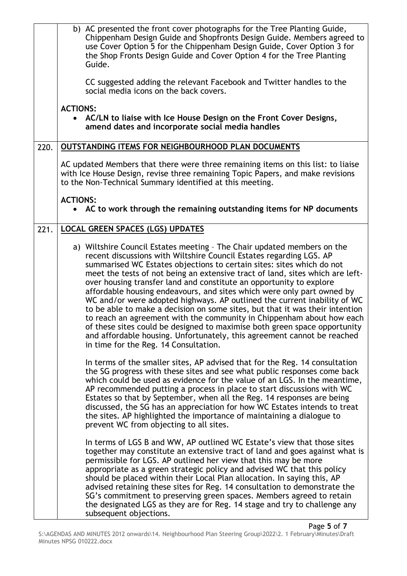|      | b) AC presented the front cover photographs for the Tree Planting Guide,<br>Chippenham Design Guide and Shopfronts Design Guide. Members agreed to<br>use Cover Option 5 for the Chippenham Design Guide, Cover Option 3 for<br>the Shop Fronts Design Guide and Cover Option 4 for the Tree Planting<br>Guide.<br>CC suggested adding the relevant Facebook and Twitter handles to the<br>social media icons on the back covers.                                                                                                                                                                                                                                                                                                                                                                                                                                                               |
|------|-------------------------------------------------------------------------------------------------------------------------------------------------------------------------------------------------------------------------------------------------------------------------------------------------------------------------------------------------------------------------------------------------------------------------------------------------------------------------------------------------------------------------------------------------------------------------------------------------------------------------------------------------------------------------------------------------------------------------------------------------------------------------------------------------------------------------------------------------------------------------------------------------|
|      | <b>ACTIONS:</b><br>• AC/LN to liaise with Ice House Design on the Front Cover Designs,<br>amend dates and incorporate social media handles                                                                                                                                                                                                                                                                                                                                                                                                                                                                                                                                                                                                                                                                                                                                                      |
| 220. | <b>OUTSTANDING ITEMS FOR NEIGHBOURHOOD PLAN DOCUMENTS</b>                                                                                                                                                                                                                                                                                                                                                                                                                                                                                                                                                                                                                                                                                                                                                                                                                                       |
|      | AC updated Members that there were three remaining items on this list: to liaise<br>with Ice House Design, revise three remaining Topic Papers, and make revisions<br>to the Non-Technical Summary identified at this meeting.                                                                                                                                                                                                                                                                                                                                                                                                                                                                                                                                                                                                                                                                  |
|      | <b>ACTIONS:</b><br>• AC to work through the remaining outstanding items for NP documents                                                                                                                                                                                                                                                                                                                                                                                                                                                                                                                                                                                                                                                                                                                                                                                                        |
| 221. | <b>LOCAL GREEN SPACES (LGS) UPDATES</b>                                                                                                                                                                                                                                                                                                                                                                                                                                                                                                                                                                                                                                                                                                                                                                                                                                                         |
|      | a) Wiltshire Council Estates meeting - The Chair updated members on the<br>recent discussions with Wiltshire Council Estates regarding LGS. AP<br>summarised WC Estates objections to certain sites: sites which do not<br>meet the tests of not being an extensive tract of land, sites which are left-<br>over housing transfer land and constitute an opportunity to explore<br>affordable housing endeavours, and sites which were only part owned by<br>WC and/or were adopted highways. AP outlined the current inability of WC<br>to be able to make a decision on some sites, but that it was their intention<br>to reach an agreement with the community in Chippenham about how each<br>of these sites could be designed to maximise both green space opportunity<br>and affordable housing. Unfortunately, this agreement cannot be reached<br>in time for the Reg. 14 Consultation. |
|      | In terms of the smaller sites, AP advised that for the Reg. 14 consultation<br>the SG progress with these sites and see what public responses come back<br>which could be used as evidence for the value of an LGS. In the meantime,<br>AP recommended putting a process in place to start discussions with WC<br>Estates so that by September, when all the Reg. 14 responses are being<br>discussed, the SG has an appreciation for how WC Estates intends to treat<br>the sites. AP highlighted the importance of maintaining a dialogue to<br>prevent WC from objecting to all sites.                                                                                                                                                                                                                                                                                                       |
|      | In terms of LGS B and WW, AP outlined WC Estate's view that those sites<br>together may constitute an extensive tract of land and goes against what is<br>permissible for LGS. AP outlined her view that this may be more<br>appropriate as a green strategic policy and advised WC that this policy<br>should be placed within their Local Plan allocation. In saying this, AP<br>advised retaining these sites for Reg. 14 consultation to demonstrate the<br>SG's commitment to preserving green spaces. Members agreed to retain<br>the designated LGS as they are for Reg. 14 stage and try to challenge any<br>subsequent objections.                                                                                                                                                                                                                                                     |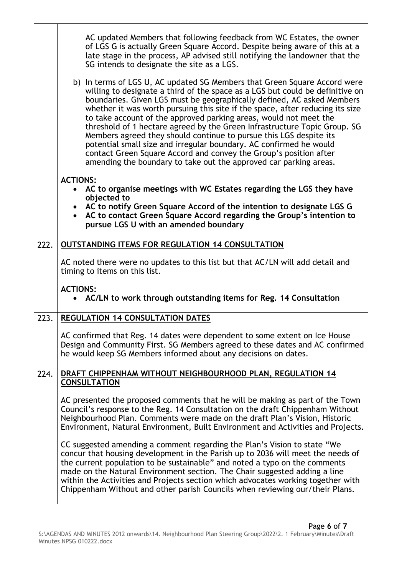|      | AC updated Members that following feedback from WC Estates, the owner<br>of LGS G is actually Green Square Accord. Despite being aware of this at a<br>late stage in the process, AP advised still notifying the landowner that the<br>SG intends to designate the site as a LGS.                                                                                                                                                                                                                                                                                                                                                                                                                                                                             |
|------|---------------------------------------------------------------------------------------------------------------------------------------------------------------------------------------------------------------------------------------------------------------------------------------------------------------------------------------------------------------------------------------------------------------------------------------------------------------------------------------------------------------------------------------------------------------------------------------------------------------------------------------------------------------------------------------------------------------------------------------------------------------|
|      | b) In terms of LGS U, AC updated SG Members that Green Square Accord were<br>willing to designate a third of the space as a LGS but could be definitive on<br>boundaries. Given LGS must be geographically defined, AC asked Members<br>whether it was worth pursuing this site if the space, after reducing its size<br>to take account of the approved parking areas, would not meet the<br>threshold of 1 hectare agreed by the Green Infrastructure Topic Group. SG<br>Members agreed they should continue to pursue this LGS despite its<br>potential small size and irregular boundary. AC confirmed he would<br>contact Green Square Accord and convey the Group's position after<br>amending the boundary to take out the approved car parking areas. |
|      | <b>ACTIONS:</b><br>AC to organise meetings with WC Estates regarding the LGS they have<br>$\bullet$                                                                                                                                                                                                                                                                                                                                                                                                                                                                                                                                                                                                                                                           |
|      | objected to<br>• AC to notify Green Square Accord of the intention to designate LGS G<br>AC to contact Green Square Accord regarding the Group's intention to<br>pursue LGS U with an amended boundary                                                                                                                                                                                                                                                                                                                                                                                                                                                                                                                                                        |
| 222. | OUTSTANDING ITEMS FOR REGULATION 14 CONSULTATION                                                                                                                                                                                                                                                                                                                                                                                                                                                                                                                                                                                                                                                                                                              |
|      | AC noted there were no updates to this list but that AC/LN will add detail and<br>timing to items on this list.                                                                                                                                                                                                                                                                                                                                                                                                                                                                                                                                                                                                                                               |
|      | <b>ACTIONS:</b><br>• AC/LN to work through outstanding items for Reg. 14 Consultation                                                                                                                                                                                                                                                                                                                                                                                                                                                                                                                                                                                                                                                                         |
| 223. | <b>REGULATION 14 CONSULTATION DATES</b>                                                                                                                                                                                                                                                                                                                                                                                                                                                                                                                                                                                                                                                                                                                       |
|      | AC confirmed that Reg. 14 dates were dependent to some extent on Ice House<br>Design and Community First. SG Members agreed to these dates and AC confirmed<br>he would keep SG Members informed about any decisions on dates.                                                                                                                                                                                                                                                                                                                                                                                                                                                                                                                                |
| 224. | DRAFT CHIPPENHAM WITHOUT NEIGHBOURHOOD PLAN, REGULATION 14<br><b>CONSULTATION</b>                                                                                                                                                                                                                                                                                                                                                                                                                                                                                                                                                                                                                                                                             |
|      | AC presented the proposed comments that he will be making as part of the Town<br>Council's response to the Reg. 14 Consultation on the draft Chippenham Without<br>Neighbourhood Plan. Comments were made on the draft Plan's Vision, Historic<br>Environment, Natural Environment, Built Environment and Activities and Projects.                                                                                                                                                                                                                                                                                                                                                                                                                            |
|      | CC suggested amending a comment regarding the Plan's Vision to state "We<br>concur that housing development in the Parish up to 2036 will meet the needs of<br>the current population to be sustainable" and noted a typo on the comments<br>made on the Natural Environment section. The Chair suggested adding a line<br>within the Activities and Projects section which advocates working together with<br>Chippenham Without and other parish Councils when reviewing our/their Plans.                                                                                                                                                                                                                                                                   |

 $\mathsf T$